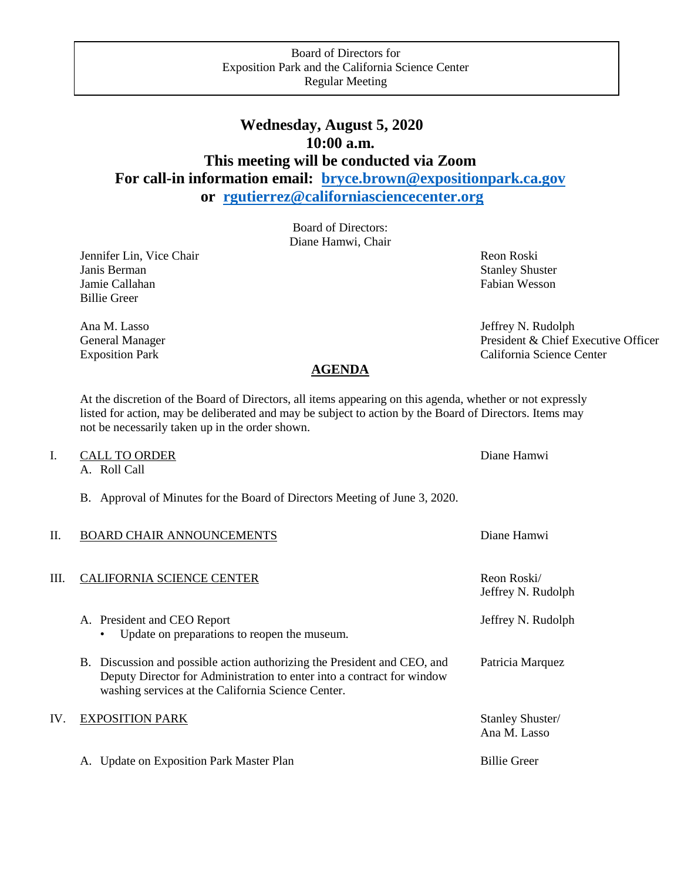# **Wednesday, August 5, 2020 10:00 a.m. This meeting will be conducted via Zoom For call-in information email: [bryce.brown@expositionpark.ca.gov](mailto:bryce.brown@expositionpark.ca.gov) or [rgutierrez@californiasciencecenter.org](mailto:rgutierrez@californiasciencecenter.org)**

Board of Directors: Diane Hamwi, Chair

Jennifer Lin, Vice Chair Revenue and The Chair Reon Roski Janis Berman Stanley Shuster Shuster Shuster Shuster Shuster Shuster Shuster Jamie Callahan Fabian Wesson Eabian Wesson Billie Greer

Ana M. Lasso Jeffrey N. Rudolph General Manager President & Chief Executive Officer Exposition Park California Science Center

### **AGENDA**

At the discretion of the Board of Directors, all items appearing on this agenda, whether or not expressly listed for action, may be deliberated and may be subject to action by the Board of Directors. Items may not be necessarily taken up in the order shown.

## I. CALL TO ORDER Diane Hamwi

A. Roll Call

B. Approval of Minutes for the Board of Directors Meeting of June 3, 2020.

| H. | BOARD CHAIR ANNOUNCEMENTS | Diane Hamwi |
|----|---------------------------|-------------|
|    |                           |             |
| Ш. | CALIFORNIA SCIENCE CENTER | Reon Roski/ |

- A. President and CEO Report **A.** President and CEO Report **Jeffrey N. Rudolph** • Update on preparations to reopen the museum.
	- B. Discussion and possible action authorizing the President and CEO, and Patricia Marquez Deputy Director for Administration to enter into a contract for window washing services at the California Science Center.

### IV. EXPOSITION PARK Stanley Shuster/

A. Update on Exposition Park Master Plan Billie Greer Billie Greer

Reon Roski/ Jeffrey N. Rudolph

Ana M. Lasso